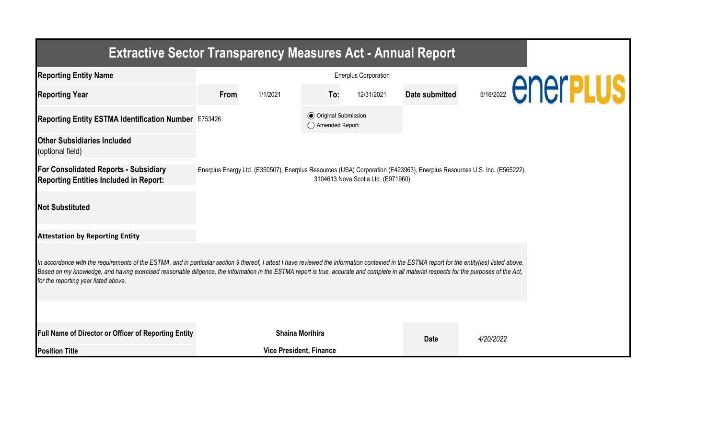| <b>Extractive Sector Transparency Measures Act - Annual Report</b>                                                                                                                                                                                                                                                                                                                                                                    |      |                                |                                                  |                                    |                       |                                                                                                                         |                           |  |  |  |
|---------------------------------------------------------------------------------------------------------------------------------------------------------------------------------------------------------------------------------------------------------------------------------------------------------------------------------------------------------------------------------------------------------------------------------------|------|--------------------------------|--------------------------------------------------|------------------------------------|-----------------------|-------------------------------------------------------------------------------------------------------------------------|---------------------------|--|--|--|
| <b>Reporting Entity Name</b>                                                                                                                                                                                                                                                                                                                                                                                                          |      |                                |                                                  |                                    |                       |                                                                                                                         |                           |  |  |  |
| <b>Reporting Year</b>                                                                                                                                                                                                                                                                                                                                                                                                                 | From | 1/1/2021                       | To:                                              | 12/31/2021                         | <b>Date submitted</b> |                                                                                                                         | <b>SY16/2022 CNCIPLUS</b> |  |  |  |
| Reporting Entity ESTMA Identification Number E753426                                                                                                                                                                                                                                                                                                                                                                                  |      |                                | <b>◎</b> Original Submission<br>◯ Amended Report |                                    |                       |                                                                                                                         |                           |  |  |  |
| <b>Other Subsidiaries Included</b><br>(optional field)                                                                                                                                                                                                                                                                                                                                                                                |      |                                |                                                  |                                    |                       |                                                                                                                         |                           |  |  |  |
| <b>For Consolidated Reports - Subsidiary</b><br><b>Reporting Entities Included in Report:</b>                                                                                                                                                                                                                                                                                                                                         |      |                                |                                                  | 3104613 Nova Scotia Ltd. (E971960) |                       | Enerplus Energy Ltd. (E350507), Enerplus Resources (USA) Corporation (E423963), Enerplus Resources U.S. Inc. (E565222), |                           |  |  |  |
| <b>Not Substituted</b>                                                                                                                                                                                                                                                                                                                                                                                                                |      |                                |                                                  |                                    |                       |                                                                                                                         |                           |  |  |  |
| <b>Attestation by Reporting Entity</b>                                                                                                                                                                                                                                                                                                                                                                                                |      |                                |                                                  |                                    |                       |                                                                                                                         |                           |  |  |  |
| In accordance with the requirements of the ESTMA, and in particular section 9 thereof, I attest I have reviewed the information contained in the ESTMA report for the entity(ies) listed above.<br>Based on my knowledge, and having exercised reasonable diligence, the information in the ESTMA report is true, accurate and complete in all material respects for the purposes of the Act,<br>for the reporting year listed above. |      |                                |                                                  |                                    |                       |                                                                                                                         |                           |  |  |  |
|                                                                                                                                                                                                                                                                                                                                                                                                                                       |      |                                |                                                  |                                    |                       |                                                                                                                         |                           |  |  |  |
| Full Name of Director or Officer of Reporting Entity                                                                                                                                                                                                                                                                                                                                                                                  |      | <b>Shaina Morihira</b>         |                                                  |                                    | <b>Date</b>           | 4/20/2022                                                                                                               |                           |  |  |  |
| <b>Position Title</b>                                                                                                                                                                                                                                                                                                                                                                                                                 |      | <b>Vice President, Finance</b> |                                                  |                                    |                       |                                                                                                                         |                           |  |  |  |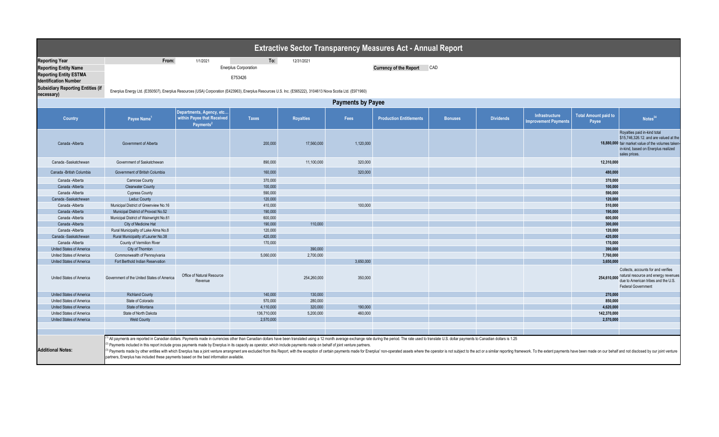| <b>Extractive Sector Transparency Measures Act - Annual Report</b> |                                                                                                                                                                                                                                                                                                                                                                                                                                                                                                                                                                                                                                                                                                                                                            |                                                                           |                      |                  |           |                                |                |                  |                                                      |                                      |                                                                                                                                                                                      |  |
|--------------------------------------------------------------------|------------------------------------------------------------------------------------------------------------------------------------------------------------------------------------------------------------------------------------------------------------------------------------------------------------------------------------------------------------------------------------------------------------------------------------------------------------------------------------------------------------------------------------------------------------------------------------------------------------------------------------------------------------------------------------------------------------------------------------------------------------|---------------------------------------------------------------------------|----------------------|------------------|-----------|--------------------------------|----------------|------------------|------------------------------------------------------|--------------------------------------|--------------------------------------------------------------------------------------------------------------------------------------------------------------------------------------|--|
| <b>Reporting Year</b>                                              | From:                                                                                                                                                                                                                                                                                                                                                                                                                                                                                                                                                                                                                                                                                                                                                      | 1/1/2021                                                                  | To:                  | 12/31/2021       |           |                                |                |                  |                                                      |                                      |                                                                                                                                                                                      |  |
| <b>Reporting Entity Name</b>                                       |                                                                                                                                                                                                                                                                                                                                                                                                                                                                                                                                                                                                                                                                                                                                                            |                                                                           | Enerplus Corporation |                  |           | <b>Currency of the Report</b>  | CAD            |                  |                                                      |                                      |                                                                                                                                                                                      |  |
| <b>Reporting Entity ESTMA</b>                                      |                                                                                                                                                                                                                                                                                                                                                                                                                                                                                                                                                                                                                                                                                                                                                            |                                                                           |                      |                  |           |                                |                |                  |                                                      |                                      |                                                                                                                                                                                      |  |
| <b>Identification Number</b>                                       |                                                                                                                                                                                                                                                                                                                                                                                                                                                                                                                                                                                                                                                                                                                                                            |                                                                           | E753426              |                  |           |                                |                |                  |                                                      |                                      |                                                                                                                                                                                      |  |
| <b>Subsidiary Reporting Entities (if</b>                           |                                                                                                                                                                                                                                                                                                                                                                                                                                                                                                                                                                                                                                                                                                                                                            |                                                                           |                      |                  |           |                                |                |                  |                                                      |                                      |                                                                                                                                                                                      |  |
| necessary)                                                         | Enerplus Energy Ltd. (E350507), Enerplus Resources (USA) Corporation (E423963), Enerplus Resources U.S. Inc. (E565222), 3104613 Nova Scotia Ltd. (E971960)                                                                                                                                                                                                                                                                                                                                                                                                                                                                                                                                                                                                 |                                                                           |                      |                  |           |                                |                |                  |                                                      |                                      |                                                                                                                                                                                      |  |
|                                                                    | <b>Payments by Payee</b>                                                                                                                                                                                                                                                                                                                                                                                                                                                                                                                                                                                                                                                                                                                                   |                                                                           |                      |                  |           |                                |                |                  |                                                      |                                      |                                                                                                                                                                                      |  |
|                                                                    |                                                                                                                                                                                                                                                                                                                                                                                                                                                                                                                                                                                                                                                                                                                                                            |                                                                           |                      |                  |           |                                |                |                  |                                                      |                                      |                                                                                                                                                                                      |  |
| <b>Country</b>                                                     | Payee Name                                                                                                                                                                                                                                                                                                                                                                                                                                                                                                                                                                                                                                                                                                                                                 | Departments, Agency, etc<br>within Payee that Received<br><b>Payments</b> | <b>Taxes</b>         | <b>Royalties</b> | Fees      | <b>Production Entitlements</b> | <b>Bonuses</b> | <b>Dividends</b> | <b>Infrastructure</b><br><b>Improvement Payments</b> | <b>Total Amount paid to</b><br>Payee | Notes <sup>34</sup>                                                                                                                                                                  |  |
| Canada - Alberta                                                   | Government of Alberta                                                                                                                                                                                                                                                                                                                                                                                                                                                                                                                                                                                                                                                                                                                                      |                                                                           | 200,000              | 17,560,000       | 1,120,000 |                                |                |                  |                                                      |                                      | Royalties paid in-kind total<br>\$15,746,326.12. and are valued at the<br>18,880,000 fair market value of the volumes taken-<br>in-kind, based on Enerplus realized<br>sales prices. |  |
| Canada -Saskatchewan                                               | Government of Saskatchewan                                                                                                                                                                                                                                                                                                                                                                                                                                                                                                                                                                                                                                                                                                                                 |                                                                           | 890,000              | 11,100,000       | 320,000   |                                |                |                  |                                                      | 12,310,000                           |                                                                                                                                                                                      |  |
| Canada - British Columbia                                          | Government of British Columbia                                                                                                                                                                                                                                                                                                                                                                                                                                                                                                                                                                                                                                                                                                                             |                                                                           | 160,000              |                  | 320,000   |                                |                |                  |                                                      | 480,000                              |                                                                                                                                                                                      |  |
| Canada -Alberta                                                    | <b>Camrose County</b>                                                                                                                                                                                                                                                                                                                                                                                                                                                                                                                                                                                                                                                                                                                                      |                                                                           | 370,000              |                  |           |                                |                |                  |                                                      | 370,000                              |                                                                                                                                                                                      |  |
| Canada - Alberta                                                   | <b>Clearwater County</b>                                                                                                                                                                                                                                                                                                                                                                                                                                                                                                                                                                                                                                                                                                                                   |                                                                           | 100,000              |                  |           |                                |                |                  |                                                      | 100,000                              |                                                                                                                                                                                      |  |
| Canada -Alberta                                                    | <b>Cypress County</b>                                                                                                                                                                                                                                                                                                                                                                                                                                                                                                                                                                                                                                                                                                                                      |                                                                           | 590,000              |                  |           |                                |                |                  |                                                      | 590,000                              |                                                                                                                                                                                      |  |
| Canada -Saskatchewar                                               | <b>Leduc County</b>                                                                                                                                                                                                                                                                                                                                                                                                                                                                                                                                                                                                                                                                                                                                        |                                                                           | 120,000              |                  |           |                                |                |                  |                                                      | 120,000                              |                                                                                                                                                                                      |  |
| Canada - Alberta                                                   | Municipal District of Greenview No.16                                                                                                                                                                                                                                                                                                                                                                                                                                                                                                                                                                                                                                                                                                                      |                                                                           | 410,000              |                  | 100,000   |                                |                |                  |                                                      | 510,000                              |                                                                                                                                                                                      |  |
| Canada - Alberta                                                   | Municipal District of Provost No.52                                                                                                                                                                                                                                                                                                                                                                                                                                                                                                                                                                                                                                                                                                                        |                                                                           | 190,000              |                  |           |                                |                |                  |                                                      | 190,000                              |                                                                                                                                                                                      |  |
| Canada - Alberta                                                   | Municipal District of Wainwright No.61                                                                                                                                                                                                                                                                                                                                                                                                                                                                                                                                                                                                                                                                                                                     |                                                                           | 600,000              |                  |           |                                |                |                  |                                                      | 600,000                              |                                                                                                                                                                                      |  |
| Canada - Alberta                                                   | City of Medicine Hat                                                                                                                                                                                                                                                                                                                                                                                                                                                                                                                                                                                                                                                                                                                                       |                                                                           | 190,000              | 110,000          |           |                                |                |                  |                                                      | 300,000                              |                                                                                                                                                                                      |  |
| Canada -Alberta                                                    | Rural Municipality of Lake Alma No.8                                                                                                                                                                                                                                                                                                                                                                                                                                                                                                                                                                                                                                                                                                                       |                                                                           | 120,000              |                  |           |                                |                |                  |                                                      | 120.000                              |                                                                                                                                                                                      |  |
| Canada -Saskatchewar                                               | Rural Municipality of Laurier No.38                                                                                                                                                                                                                                                                                                                                                                                                                                                                                                                                                                                                                                                                                                                        |                                                                           | 420,000              |                  |           |                                |                |                  |                                                      | 420,000                              |                                                                                                                                                                                      |  |
| Canada -Alberta                                                    | County of Vermilion River                                                                                                                                                                                                                                                                                                                                                                                                                                                                                                                                                                                                                                                                                                                                  |                                                                           | 170,000              |                  |           |                                |                |                  |                                                      | 170,000                              |                                                                                                                                                                                      |  |
| United States of America                                           | City of Thornton                                                                                                                                                                                                                                                                                                                                                                                                                                                                                                                                                                                                                                                                                                                                           |                                                                           |                      | 390,000          |           |                                |                |                  |                                                      | 390,000                              |                                                                                                                                                                                      |  |
| United States of America                                           | Commonwealth of Pennsylvania                                                                                                                                                                                                                                                                                                                                                                                                                                                                                                                                                                                                                                                                                                                               |                                                                           | 5,060,000            | 2,700,000        |           |                                |                |                  |                                                      | 7,760,000                            |                                                                                                                                                                                      |  |
| United States of America                                           | Fort Berthold Indian Reservation                                                                                                                                                                                                                                                                                                                                                                                                                                                                                                                                                                                                                                                                                                                           |                                                                           |                      |                  | 3.650.000 |                                |                |                  |                                                      | 3,650,000                            |                                                                                                                                                                                      |  |
| United States of America                                           | Government of the United States of America                                                                                                                                                                                                                                                                                                                                                                                                                                                                                                                                                                                                                                                                                                                 | Office of Natural Resource<br>Revenue                                     |                      | 254,260,000      | 350,000   |                                |                |                  |                                                      | 254,610,000                          | Collects, accounts for and verifies<br>natural resource and energy revenues<br>due to American tribes and the U.S.<br><b>Federal Government</b>                                      |  |
| United States of America                                           | <b>Richland County</b>                                                                                                                                                                                                                                                                                                                                                                                                                                                                                                                                                                                                                                                                                                                                     |                                                                           | 140,000              | 130,000          |           |                                |                |                  |                                                      | 270,000                              |                                                                                                                                                                                      |  |
| United States of America                                           | State of Colorado                                                                                                                                                                                                                                                                                                                                                                                                                                                                                                                                                                                                                                                                                                                                          |                                                                           | 570,000              | 280,000          |           |                                |                |                  |                                                      | 850,000                              |                                                                                                                                                                                      |  |
| United States of America                                           | State of Montana                                                                                                                                                                                                                                                                                                                                                                                                                                                                                                                                                                                                                                                                                                                                           |                                                                           | 4,110,000            | 320,000          | 190,000   |                                |                |                  |                                                      | 4.620.000                            |                                                                                                                                                                                      |  |
| United States of America                                           | State of North Dakota                                                                                                                                                                                                                                                                                                                                                                                                                                                                                                                                                                                                                                                                                                                                      |                                                                           | 136,710,000          | 5,200,000        | 460,000   |                                |                |                  |                                                      | 142,370,000                          |                                                                                                                                                                                      |  |
| United States of America                                           | <b>Weld County</b>                                                                                                                                                                                                                                                                                                                                                                                                                                                                                                                                                                                                                                                                                                                                         |                                                                           | 2,570,000            |                  |           |                                |                |                  |                                                      | 2,570,000                            |                                                                                                                                                                                      |  |
|                                                                    |                                                                                                                                                                                                                                                                                                                                                                                                                                                                                                                                                                                                                                                                                                                                                            |                                                                           |                      |                  |           |                                |                |                  |                                                      |                                      |                                                                                                                                                                                      |  |
|                                                                    |                                                                                                                                                                                                                                                                                                                                                                                                                                                                                                                                                                                                                                                                                                                                                            |                                                                           |                      |                  |           |                                |                |                  |                                                      |                                      |                                                                                                                                                                                      |  |
| <b>Additional Notes:</b>                                           | <sup>1)</sup> All payments are reported in Canadian dollars. Payments made in currencies other than Canadian dollars have been translated using a 12 month average exchange rate during the period. The rate used to translate U.S. dol<br>(2) Payments included in this report include gross payments made by Enerplus in its capacity as operator, which include payments made on behalf of joint venture partners.<br><sup>9)</sup> Payments made by other entities with which Enerplus has a joint venture arrangment are excluded from this Report, with the exception of certain payments made for Enerplus' non-operated assets where the operator is not<br>partners, Enerplus has included these payments based on the best information available |                                                                           |                      |                  |           |                                |                |                  |                                                      |                                      |                                                                                                                                                                                      |  |